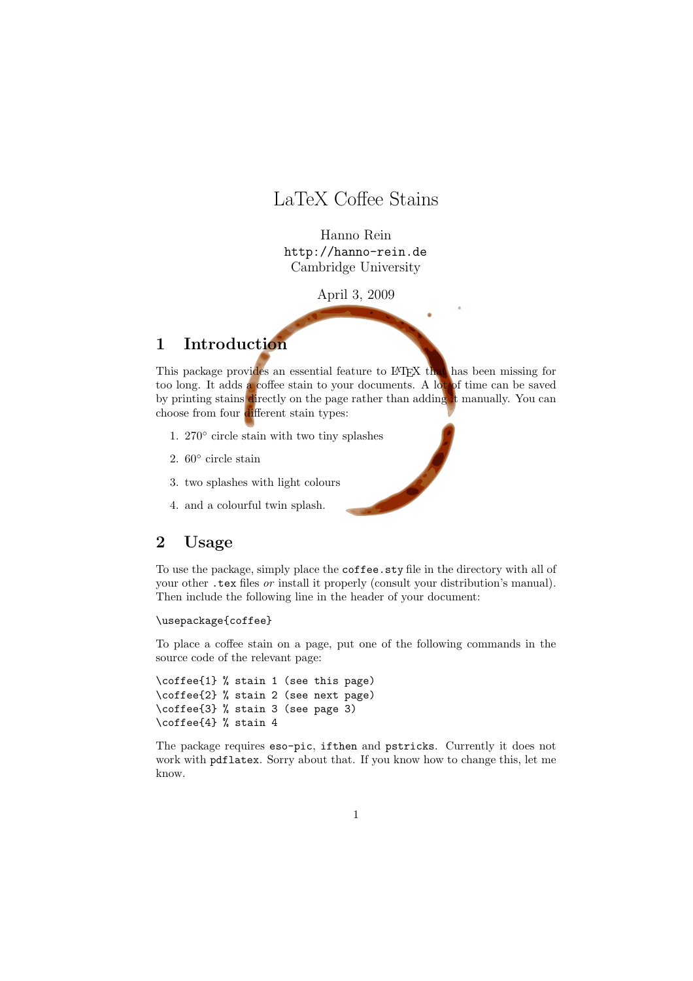## LaTeX Coffee Stains

Hanno Rein http://hanno-rein.de Cambridge University

April 3, 2009

### 1 Introduction

This package provides an essential feature to LATEX that has been missing for too long. It adds a coffee stain to your documents. A lot of time can be saved by printing stains directly on the page rather than adding it manually. You can choose from four different stain types:

- 1. 270° circle stain with two tiny splashes
- 2.  $60^{\circ}$  circle stain
- 3. two splashes with light colours
- 4. and a colourful twin splash.

#### 2 Usage

To use the package, simply place the coffee.sty file in the directory with all of your other .tex files or install it properly (consult your distribution's manual). Then include the following line in the header of your document:

#### \usepackage{coffee}

To place a coffee stain on a page, put one of the following commands in the source code of the relevant page:

```
\coffee{1} % stain 1 (see this page)
\coffee{2} % stain 2 (see next page)
\coffee{3} % stain 3 (see page 3)
\coffee{4} % stain 4
```
The package requires eso-pic, ifthen and pstricks. Currently it does not work with pdflatex. Sorry about that. If you know how to change this, let me know.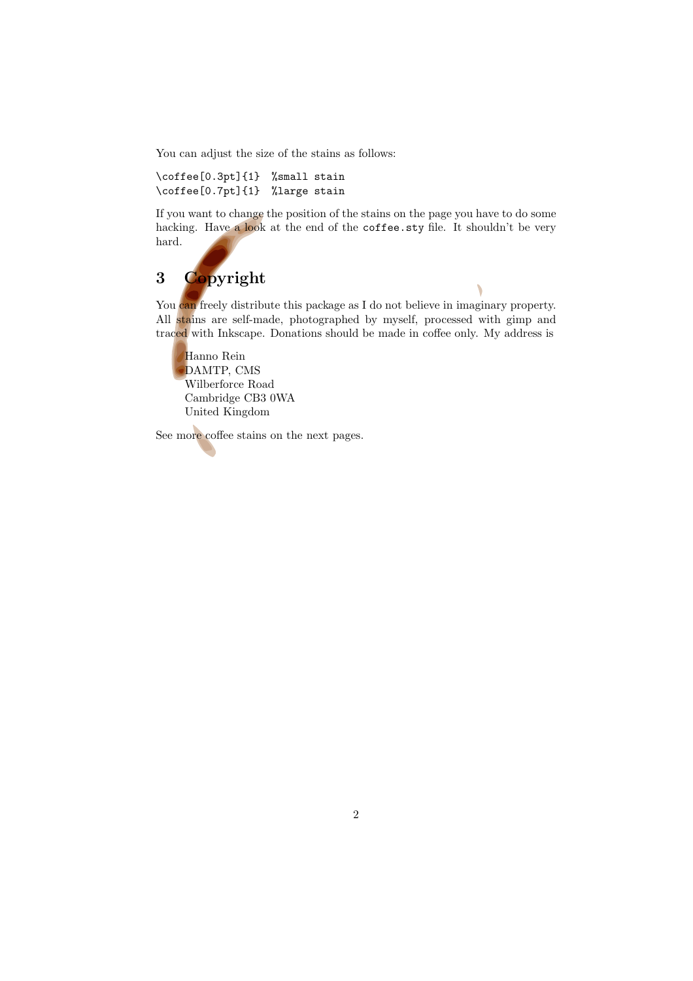You can adjust the size of the stains as follows:

\coffee[0.3pt]{1} %small stain \coffee[0.7pt]{1} %large stain

If you want to change the position of the stains on the page you have to do some hacking. Have a look at the end of the coffee.sty file. It shouldn't be very hard.

# 3 Copyright

You can freely distribute this package as I do not believe in imaginary property. All stains are self-made, photographed by myself, processed with gimp and traced with Inkscape. Donations should be made in coffee only. My address is

Hanno Rein DAMTP, CMS Wilberforce Road Cambridge CB3 0WA United Kingdom

See more coffee stains on the next pages.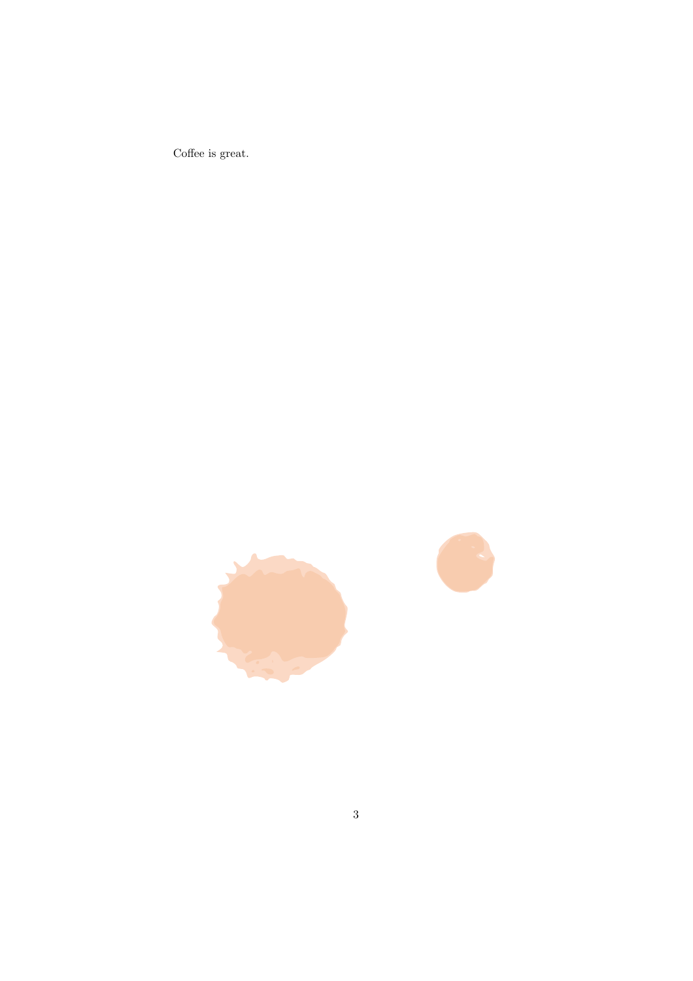Coffee is great.